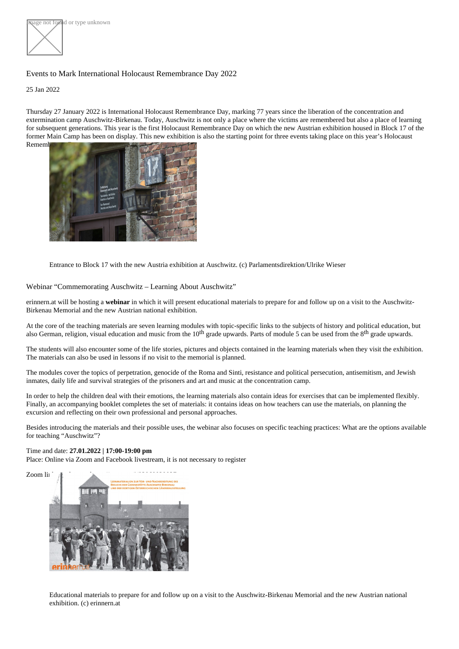age not føund or type unknown

## Events to Mark International Holocaust Remembrance Day 2022

25 Jan 2022

Thursday 27 January 2022 is International Holocaust Remembrance Day, marking 77 years since the liberation of the concentration and extermination camp Auschwitz-Birkenau. Today, Auschwitz is not only a place where the victims are remembered but also a place of learning for subsequent generations. This year is the first Holocaust Remembrance Day on which the new Austrian exhibition housed in Block 17 of th former Main Camp has been on display. This new exhibition is also the starting point for three events taking place on this year's Holocaust Remembrance Day.

Entrance to Block 17 with the new Austria exhibition at Auschwitz. (c) Parlamentsdirektion/Ulrike Wieser

## Webinar "Commemorating Auschwitz – Learning About Auschwitz"

[erinnern.a](https://www.erinnern.at)twillbe hosting avebinar in which it will present educational materials to prepare for and follow up on a visit to the Auschwitz-Birkenau Memorial and the new Austrian national exhibition.

At the core of the teaching materials aceen learning modules th topic-specific links to the subjects of history and political education, but also German, religion, visual education and music from the ortation upwards. Parts of module 5 can be used from the 8 th grade upwards.

The students will also encounter some of the life stories, pictures and objects contained in the learning materials when they visit the exhibitior The materials can also be used in lessons if no visit to the memorial is planned.

The modules cover the topics of perpetration, genocide of the Roma and Sinti, resistance and political persecution, antisemitism, and Jewish inmates, daily life and survival strategies of the prisoners and art and music at the concentration camp.

In order to help the children deal with their emotions, the learning materials also contain ideas for exercises that can be implemented flexibly. Finally, an accompanying booklet completes the set of materials: it contains ideas on how teachers can use the materials, on planning the excursion and reflecting on their own professional and personal approaches.

Besides introducing the materials and their possible uses, the webinar also focuses on specific teaching practices: What are the options avail for teaching "Auschwitz"?

Time and date27.01.2022 | 17:00-19:00 pm Place: Online via Zoom and Facebook livestream, it is not necessary to register

Zoom link to take part ttps://zoom.us/j/93960029937